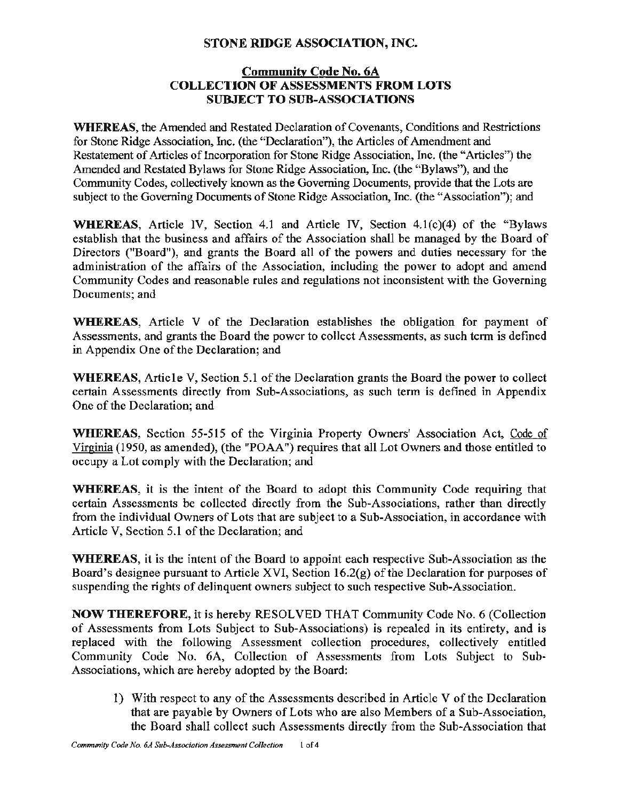## **STONE RIDGE ASSOCIATION, INC.**

## **Community Code No. 6A COLLECTION OF ASSESSMENTS FROM LOTS SUBJECT TO SUB-ASSOCIATIONS**

**WHEREAS,** the Amended and Restated Declaration of Covenants, Conditions and Restrictions for Stone Ridge Association, Inc. (the "Declaration"), the Articles of Amendment and Restatement of Articles of Incorporation for Stone Ridge Association, Inc. (the "Articles") the Amended and Restated Bylaws for Stone Ridge Association, Inc. (the "Bylaws"), and the Community Codes, collectively known as the Governing Documents, provide that the Lots are subject to the Governing Documents of Stone Ridge Association, Inc. (the "Association"); and

**WHEREAS,** Article IV, Section 4.1 and Article IV, Section 4.1(c)(4) of the "Bylaws establish that the business and affairs of the Association shall be managed by the Board of Directors ("Board"), and grants the Board all of the powers and duties necessary for the administration of the affairs of the Association, including the power to adopt and amend Community Codes and reasonable rules and regulations not inconsistent with the Governing Documents; and

**WHEREAS,** Article V of the Declaration establishes the obligation for payment of Assessments, and grants the Board the power to collect Assessments, as such term is defined in Appendix One of the Declaration; and

**WHEREAS,** Article V, Section 5.1 of the Declaration grants the Board the power to collect certain Assessments directly from Sub-Associations, as such term is defined in Appendix One of the Declaration; and

**WHEREAS,** Section 55-515 of the Virginia Property Owners' Association Act, Code of Virginia (1950, as amended), (the "POAA ") requires that all Lot Owners and those entitled to occupy a Lot comply with the Declaration; and

**WHEREAS,** it is the intent of the Board to adopt this Community Code requiring that certain Assessments be collected directly from the Sub-Associations, rather than directly from the individual Owners of Lots that are subject to a Sub-Association, in accordance with Article V, Section 5.1 of the Declaration; and

**WHEREAS,** it is the intent of the Board to appoint each respective Sub-Association as the Board's designee pursuant to Article XVI, Section 16.2(g) of the Declaration for purposes of suspending the rights of delinquent owners subject to such respective Sub-Association.

**NOW THEREFORE,** it is hereby RESOLVED THAT Community Code No. 6 (Collection of Assessments from Lots Subject to Sub-Associations) is repealed in its entirety, and is replaced with the following Assessment collection procedures, collectively entitled Community Code No. 6A, Collection of Assessments from Lots Subject to Sub-Associations, which are hereby adopted by the Board:

I) With respect to any of the Assessments described in Article V of the Declaration that are payable by Owners of Lots who are also Members of a Sub-Association, the Board shall collect such Assessments directly from the Sub-Association that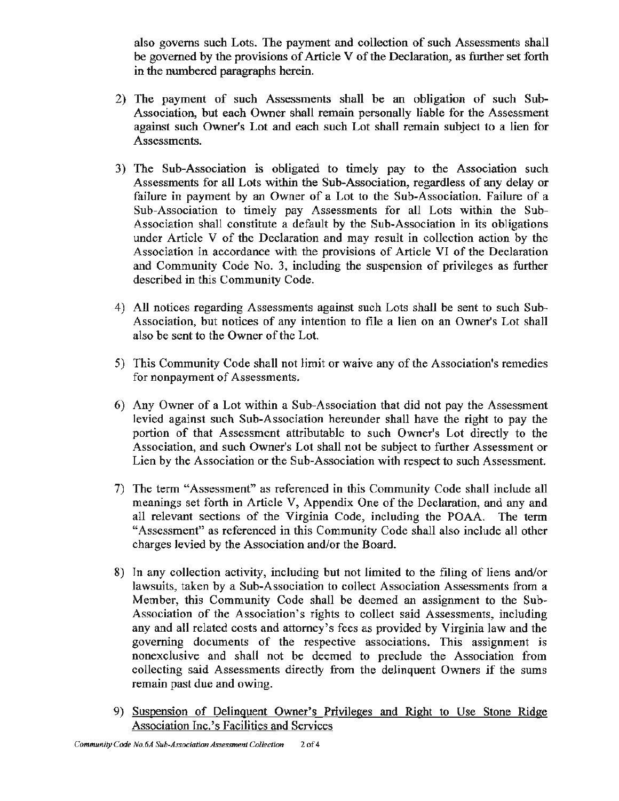also governs such Lots. The payment and collection of such Assessments shall be governed by the provisions of Article V of the Declaration, as further set forth in the numbered paragraphs herein.

- 2) The payment of such Assessments shall be an obligation of such Sub-Association, but each Owner shall remain personally liable for the Assessment against such Owner's Lot and each such Lot shall remain subject to a lien for Assessments.
- 3) The Sub-Association is obligated to timely pay to the Association such Assessments for all Lots within the Sub-Association, regardless of any delay or failure in payment by an Owner of a Lot to the Sub-Association. Failure of a Sub-Association to timely pay Assessments for all Lots within the Sub-Association shall constitute a default by the Sub-Association in its obligations under Article V of the Declaration and may result in collection action by the Association in accordance with the provisions of Article VI of the Declaration and Community Code No. 3, including the suspension of privileges as further described in this Community Code.
- 4) AJJ notices regarding Assessments against such Lots shall be sent to such Sub-Association, but notices of any intention to file a lien on an Owner's Lot shall also be sent to the Owner of the Lot.
- 5) This Community Code shall not limit or waive any of the Association's remedies for nonpayment of Assessments.
- 6) Any Owner of a Lot within a Sub-Association that did not pay the Assessment levied against such Sub-Association hereunder shall have the right to pay the portion of that Assessment attributable to such Owner's Lot directly to the Association, and such Owner's Lot shall not be subject to further Assessment or Lien by the Association or the Sub-Association with respect to such Assessment.
- 7) The term "Assessment" as referenced in this Community Code shall include all meanings set forth in Article V, Appendix One of the Declaration, and any and all relevant sections of the Virginia Code, including the POAA. The term "Assessment" as referenced in this Community Code shall also include all other charges levied by the Association and/or the Board.
- 8) In any collection activity, including but not limited to the filing of liens and/or lawsuits, taken by a Sub-Association to collect Association Assessments from a Member, this Community Code shall be deemed an assignment to the Sub-Association of the Association's rights to collect said Assessments, including any and all related costs and attorney's fees as provided by Virginia law and the governing documents of the respective associations. This assignment is nonexclusive and shall not be deemed to preclude the Association from collecting said Assessments directly from the delinquent Owners if the sums remain past due and owing.
- 9) Suspension of Delinquent Owner's Privileges and Right to Use Stone Ridge Association Inc.'s Facilities and Services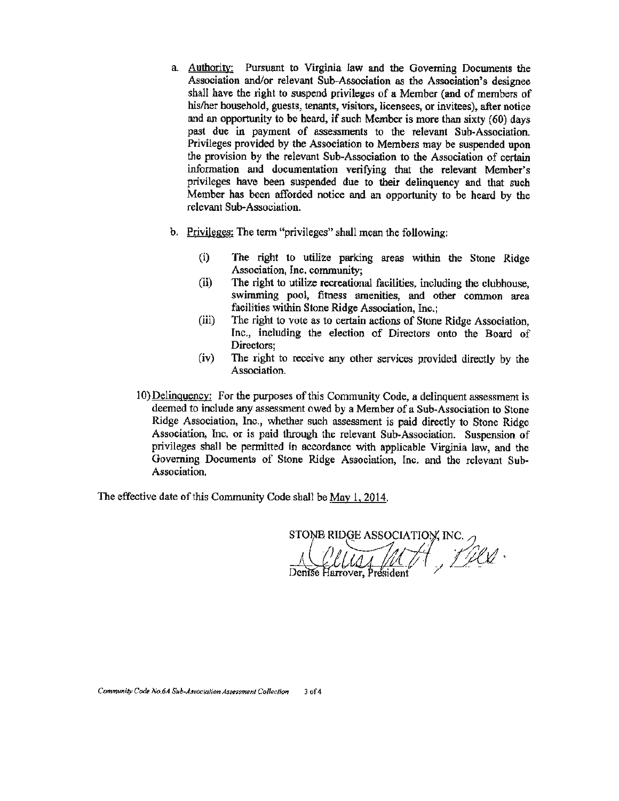- a. Authority: Pursuant to Virginia law and the Governing Docwnents the Association and/or relevant Sub-Association *as* the Association's designee shall have the right to suspend privileges of a Member (and of members of his/her household, guests, tenants, visitors, licensees, or invitees). after notice and an opportunity to be heard, if such Member is more than sixty (60) days past due in payment of assessments to the relevant Sub-Association. Privileges provided by the Association to Members may be suspended upon the provision by the relevant Sub-Association to the Association of certain information and documentation verifying that the relevant Member's privileges have been suspended due to their delinquency and that such Member has been afforded notice and an opportunity to be heard by the relevant Sub-Association.
- b. Privileges; The term "privileges" shall mean the following:
	- (i) The right to utilize parking areas within the Stone Ridge Association, Inc. community;
	- (ii) The right to utilize recreational facilities, including the clubhouse, swimming pool, fitness amenities, and other common area facilities within Stone Ridge Association, Inc.;
	- (iii) The right to vote as to certain actions of Stone Ridge Association, Inc., including the election of Directors onto the Board of Directors;
	- (iv) The right to receive any other services provided directly by the Association.
- 10) Delinquency: For the purposes of this Community Code, a delinquent assessment is deemed to include any assessment owed by a Member of a Sub-Association to Stone Ridge Association, Inc., whether such assessment is paid directly to Stone Ridge Association, Inc. or is paid through the relevant Sub-Association. Suspension of privileges shall be permitted in accordance with applicable Virginia law, and the Governing Documents of Stone Ridge Association, Inc. and the relevant Sub-Association.

The effective date of this Community Code shall be May 1, 2014.

STONE RIDGE ASSOCIATION, INC.